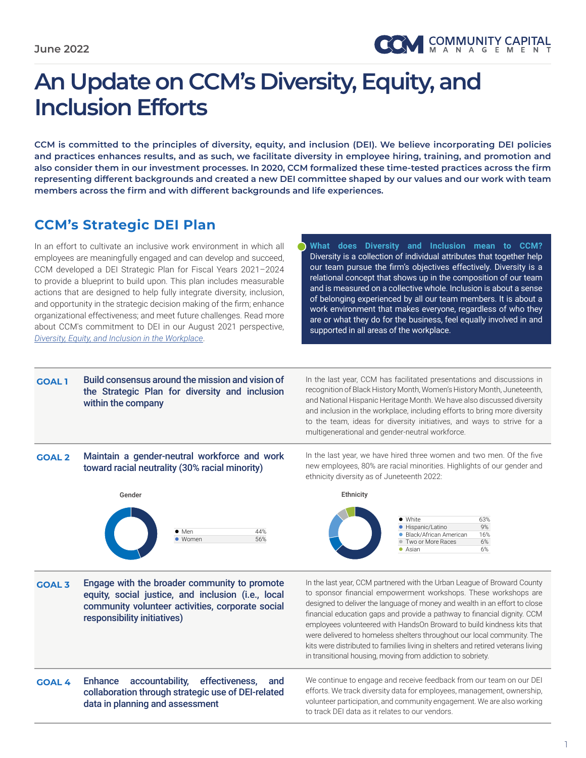# **An Update on CCM's Diversity, Equity, and Inclusion Efforts**

**CCM is committed to the principles of diversity, equity, and inclusion (DEI). We believe incorporating DEI policies and practices enhances results, and as such, we facilitate diversity in employee hiring, training, and promotion and also consider them in our investment processes. In 2020, CCM formalized these time-tested practices across the firm representing different backgrounds and created a new DEI committee shaped by our values and our work with team members across the firm and with different backgrounds and life experiences.** 

### **CCM's Strategic DEI Plan**

In an effort to cultivate an inclusive work environment in which all employees are meaningfully engaged and can develop and succeed, CCM developed a DEI Strategic Plan for Fiscal Years 2021–2024 to provide a blueprint to build upon. This plan includes measurable actions that are designed to help fully integrate diversity, inclusion, and opportunity in the strategic decision making of the firm; enhance organizational effectiveness; and meet future challenges. Read more about CCM's commitment to DEI in our August 2021 perspective, *[Diversity, Equity, and Inclusion in the Workplace](http://www.ccminvests.com/wp-content/uploads/2021/08/CCM_Diversity-Equity-and-Inclusion_Aug-2021_FINAL.pdf)*.

**What does Diversity and Inclusion mean to CCM?** Diversity is a collection of individual attributes that together help our team pursue the firm's objectives effectively. Diversity is a relational concept that shows up in the composition of our team and is measured on a collective whole. Inclusion is about a sense of belonging experienced by all our team members. It is about a work environment that makes everyone, regardless of who they are or what they do for the business, feel equally involved in and supported in all areas of the workplace.

#### **GOAL 1** Build consensus around the mission and vision of the Strategic Plan for diversity and inclusion within the company

In the last year, CCM has facilitated presentations and discussions in recognition of Black History Month, Women's History Month, Juneteenth, and National Hispanic Heritage Month. We have also discussed diversity and inclusion in the workplace, including efforts to bring more diversity to the team, ideas for diversity initiatives, and ways to strive for a multigenerational and gender-neutral workforce.

#### **GOAL 2** Maintain a gender-neutral workforce and work In the last year toward racial neutrality (30% racial minority)



White 63% and the first state of the first state of the first state of the first state of the

Men 44% and the second control of the second control of the second control of the second control of the second

In the last year, we have hired three women and two men. Of the five new employees, 80% are racial minorities. Highlights of our gender and ethnicity diversity as of Juneteenth 2022:



General General Company of the Company of the Company of the Company of the Company of the Company of the Comp

White 63% and the first state of the first state of the first state of the first state of

**GOAL 3** Engage with the broader community to promote equity, social justice, and inclusion (i.e., local community volunteer activities, corporate social responsibility initiatives)

Men 44%

In the last year, CCM partnered with the Urban League of Broward County to sponsor financial empowerment workshops. These workshops are designed to deliver the language of money and wealth in an effort to close financial education gaps and provide a pathway to financial dignity. CCM employees volunteered with HandsOn Broward to build kindness kits that were delivered to homeless shelters throughout our local community. The kits were distributed to families living in shelters and retired veterans living in transitional housing, moving from addiction to sobriety.

**GOAL 4** Enhance accountability, effectiveness, and collaboration through strategic use of DEI-related data in planning and assessment

We continue to engage and receive feedback from our team on our DEI efforts. We track diversity data for employees, management, ownership, volunteer participation, and community engagement. We are also working to track DEI data as it relates to our vendors.